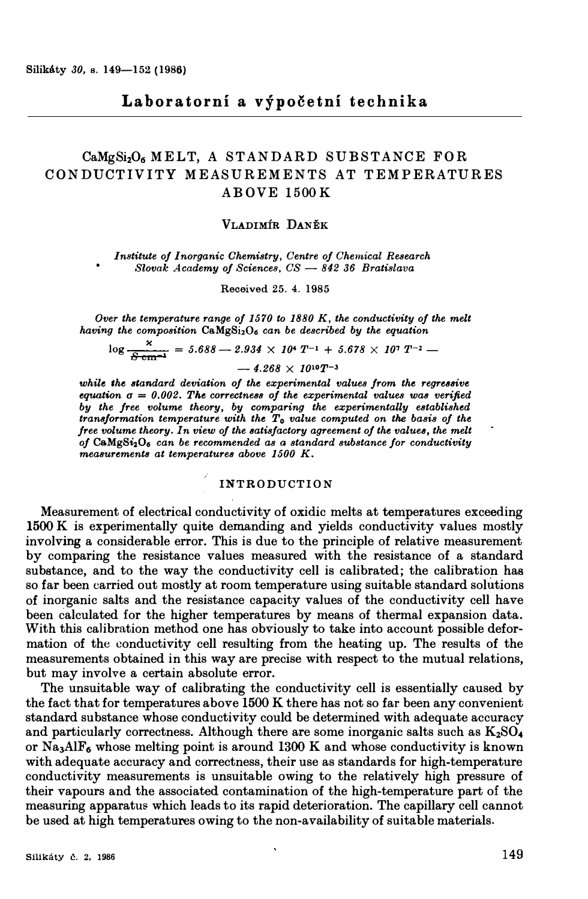# $CaMgSi<sub>2</sub>O<sub>6</sub> MELT$ , A STANDARD SUBSTANCE FOR **C ONDUCTIVITY MEASUREMENTS AT TEMPERATURES AB OVE 1500K**

### **VLADIMIR DANEK**

*Institute of Inorganic Chemistry, Centre of Chemical Research Slovak Academy of Sciences, CS - 842 36 Bratislava* 

**Received 25. 4. 1985** 

*Over the temperature range of 1570 to 1880 K, the conductivity of the melt having the composition CaMgSi2O6 can be described by the equation* 

$$
\log \frac{\text{x}}{5 \text{ cm}^{-3}} = 5.688 - 2.934 \times 10^4 \text{ T}^{-1} + 5.678 \times 10^7 \text{ T}^{-2} -
$$

 $-4.268 \times 10^{10} T^{-3}$ 

while the standard deviation of the experimental values from the regressive *equation*  $q = 0.002$ *. The correctness of the experimental values was verified by the free volume theory, by comparing the experimentally established transformation temperature with the T0 value computed on the basis of the free volume theory. In view of the satisfactory agreement of the values, the melt of Ca.MgS�O*6 *can be recommended as a standard substance for conductivity measurements at temperatures above 1500 K.* 

# INTRODUCTION

**Measurement of electrical conductivity of oxidic melts at temperatures exceeding 1500 K is experimentally quite demanding and yields conductivity values mostly involving a considerable error. This is due to the principle of relative measurement by comparing the resistance values measured with the resistance of a standard substance, and to the way the conductivity cell is calibrated; the calibration has so far been carried out mostly at room temperature using suitable standard solutions of inorganic salts and the resistance capacity values of the conductivity cell have been calculated for the higher temperatures by means of thermal expansion data. With this calibration method one has obviously to take into account possible deformation of the conductivity cell resulting from the heating up. The results of the measurements obtained in this way are precise with respect to the mutual relations, but may involve a certain absolute error.** 

**The unsuitable way of calibrating the conductivity cell is essentially caused by the fact that for temperatures above 1500 K there has not so far been any convenient standard substance whose conductivity could be determined with adequate accuracy and particularly correctness. Although there are some inorganic salts such as K2SO<sup>4</sup> or Na3AlF6 whose melting point is around 1300 Kand whose conductivity is known with adequate accuracy and correctness, their use as standards for high-temperature conductivity measurements is unsuitable owing to the relatively high pressure of their vapours and the associated contamination of the high-temperature part of the**  measuring apparatus which leads to its rapid deterioration. The capillary cell cannot **be used at high temperatures owing to the non-availability of suitable materials.**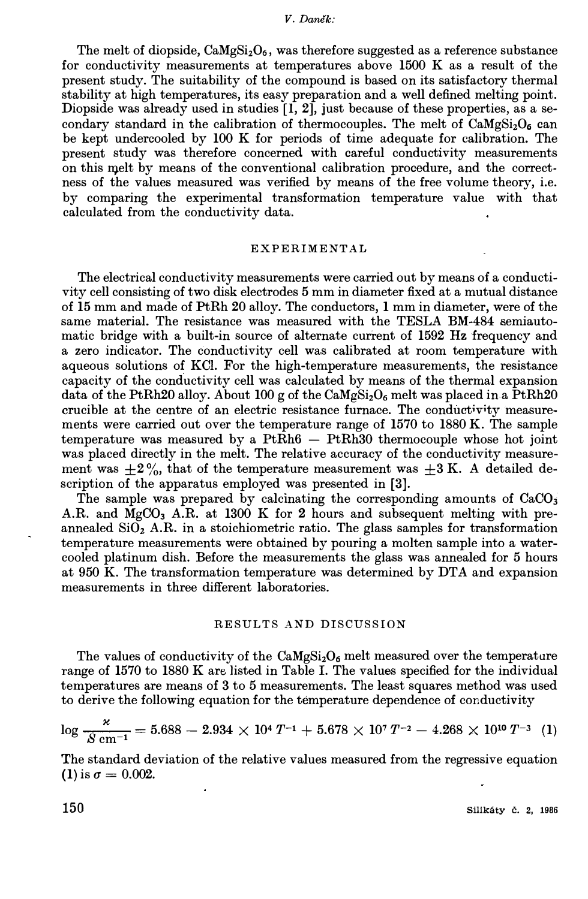The melt of diopside,  $CaMgSi<sub>2</sub>O<sub>6</sub>$ , was therefore suggested as a reference substance for conductivity measurements at temperatures above 1500 K as a result of the present study. The suitability of the compound is based on its satisfactory thermal stability at high temperatures, its easy preparation and a well defined melting point. Diopside was already used in studies  $\left[1, 2\right]$ , just because of these properties, as a secondary standard in the calibration of thermocouples. The melt of CaMgSizO**6** can be kept undercooled by 100 K for periods of time adequate for calibration. The present study was therefore concerned with careful conductivity measurements on this melt by means of the conventional calibration procedure, and the correctness of the values measured was verified by means of the free volume theory, i.e. by comparing the experimental transformation temperature value with that calculated from the conductivity data.

#### EXPERIMENTAL

The electrical conductivity measurements were carried out by means of a conductivity cell consisting of two disk electrodes 5 mm in diameter fixed at a mutual distance of 15 mm and made of PtRh 20 alloy. The conductors, 1 mm in diameter, were of the same material. The resistance was measured with the TESLA BM-484 semiautomatic bridge with a built-in source of alternate current of 1592 Hz frequency and a zero indicator. The conductivity cell was calibrated at room temperature with aqueous solutions of KCL For the high-temperature measurements, the resistance capacity of the conductivity cell was calculated by means of the thermal expansion data of the PtRh20 alloy. About 100 g of the CaMgSizO**6** melt was placed in a PtRh20 crucible at the centre of an electric resistance furnace. The conductivity measurements were carried out over the temperature range of 1570 to 1880 K. The sample temperature was measured by a  $PtRh6 - PtRh30$  thermocouple whose hot joint was placed directly in the melt. The relative accuracy of the conductivity measurement was  $\pm 2\%$ , that of the temperature measurement was  $\pm 3$  K. A detailed description of the apparatus employed was presented in **[3].**

The sample was prepared by calcinating the corresponding amounts of  $CaCO<sub>3</sub>$ A.R. and MgCO**3** A.R. at 1300 K for **2** hours and subsequent melting with preannealed  $SiO<sub>2</sub>$  A.R. in a stoichiometric ratio. The glass samples for transformation temperature measurements were obtained by pouring a molten sample into a watercooled platinum dish. Before the measurements the glass was annealed for 5 hours at 950 K. The transformation temperature was determined by DTA and expansion measurements in three different laboratories.

### RESULTS *AND* DISCUSSION

The values of conductivity of the  $\text{CaMgSi}_2\text{O}_6$  melt measured over the temperature range of 1570 to 1880 K are listed in Table I. The values specified for the individual temperatures are means of 3 to 5 measurements. The least squares method was used to derive the following equation for the temperature dependence of conductivity

$$
\log \frac{\varkappa}{S \text{ cm}^{-1}} = 5.688 - 2.934 \times 10^4 T^{-1} + 5.678 \times 10^7 T^{-2} - 4.268 \times 10^{10} T^{-3} \tag{1}
$$

The standard deviation of the relative values measured from the regressive equation (1) is  $\sigma = 0.002$ .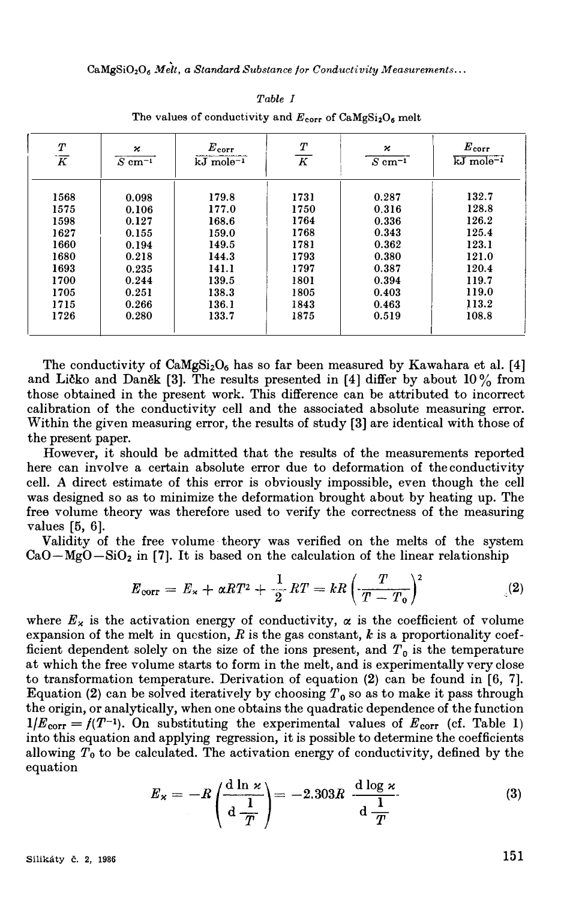**CaMgSi020**6 *.'lfelt, a Standard Substance for Conductivity Measurements ...* 

| Т<br>$\overline{K}$ | κ<br>$S \text{ cm}^{-1}$ | $E_{\rm corr}$<br>$kJ$ mole <sup>-1</sup> | Т<br>$\overline{K}$ | н<br>$S \text{ cm}^{-1}$ | $\boldsymbol{E}_{\mathtt{corr}}$<br>$kJ$ mole <sup>-1</sup> |
|---------------------|--------------------------|-------------------------------------------|---------------------|--------------------------|-------------------------------------------------------------|
| 1568                | 0.098                    | 179.8                                     | 1731                | 0.287                    | 132.7                                                       |
| 1575                | 0.106                    | 177.0                                     | 1750                | 0.316                    | 128.8                                                       |
| 1598                | 0.127                    | 168.6                                     | 1764                | 0.336                    | 126.2                                                       |
| 1627                | 0.155                    | 159.0                                     | 1768                | 0.343                    | 125.4                                                       |
| 1660                | 0.194                    | 149.5                                     | 1781                | 0.362                    | 123.1                                                       |
| 1680                | 0.218                    | 144.3                                     | 1793                | 0.380                    | 121.0                                                       |
| 1693                | 0.235                    | 141.1                                     | 1797                | 0.387                    | 120.4                                                       |
| 1700                | 0.244                    | 139.5                                     | 1801                | 0.394                    | 119.7                                                       |
| 1705                | 0.251                    | 138.3                                     | 1805                | 0.403                    | 119.0                                                       |
| 1715                | 0.266                    | 136.1                                     | 1843                | 0.463                    | 113.2                                                       |
| 1726                | 0.280                    | 133.7                                     | 1875                | 0.519                    | 108.8                                                       |
|                     |                          |                                           |                     |                          |                                                             |

*Table I*  The values of conductivity and  $E_{\text{corr}}$  of  $\text{CaMgSi}_2\text{O}_6$  melt

The conductivity of CaMgSi**2**0**6** has so far been measured by Kawahara et al. [4] and Licko and Danek [3]. The results presented in [4] differ by about  $10\%$  from those obtained in the present work. This difference can be attributed to incorrect calibration of the conductivity cell and the associated absolute measuring error. Within the given measuring error, the results of study [3] are identical with those of the present paper.

However, it should be admitted that the results of the measurements reported here can involve a certain absolute error due to deformation of the conductivity cell. *A* direct estimate of this error is obviously impossible, even though the cell was designed so as to minimize the deformation brought about by heating up. The free volume theory was therefore used to verify the correctness of the measuring values [5, 6].

Validity of the free volume· theory was verified on the melts of the system  $CaO-MgO-SiO<sub>2</sub>$  in [7]. It is based on the calculation of the linear relationship

$$
E_{\text{corr}} = E_{\varkappa} + \alpha RT^2 + \frac{1}{2}RT = kR\left(\frac{T}{T - T_0}\right)^2 \tag{2}
$$

where  $E_x$  is the activation energy of conductivity,  $\alpha$  is the coefficient of volume expansion of the melt in question,  $R$  is the gas constant,  $k$  is a proportionality coefficient dependent solely on the size of the ions present, and  $T<sub>0</sub>$  is the temperature at which the free volume starts to form in the melt, and is experimentally very close to transformation temperature. Derivation of equation (2) can be found in [6, 7]. Equation (2) can be solved iteratively by choosing  $T_0$  so as to make it pass through the origin, or analytically, when one obtains the quadratic dependence of the function  $1/E_{\text{corr}} = f(T^{-1})$ . On substituting the experimental values of  $E_{\text{corr}}$  (cf. Table 1) into this equation and applying regression, it is possible to determine the coefficients allowing  $T<sub>0</sub>$  to be calculated. The activation energy of conductivity, defined by the equation

$$
E_x = -R \left( \frac{d \ln x}{d \frac{1}{T}} \right) = -2.303R \frac{d \log x}{d \frac{1}{T}}
$$
 (3)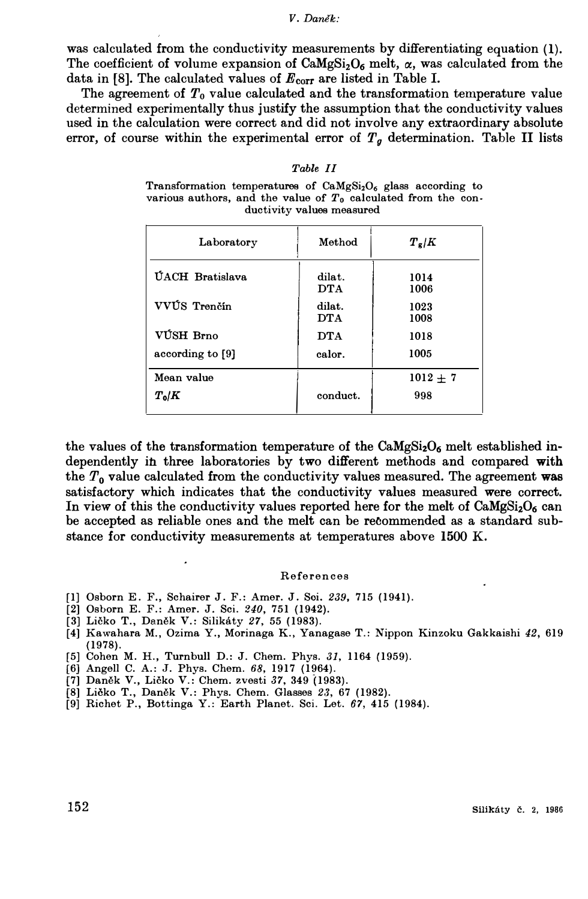was calculated from the conductivity measurements by differentiating equation (1). The coefficient of volume expansion of CaMgSi<sub>2</sub>O<sub>6</sub> melt,  $\alpha$ , was calculated from the data in [8]. The calculated values of  $E_{\text{corr}}$  are listed in Table I.

The agreement of T*0* value calculated and the transformation temperature value determined experimentally thus justify the assumption that the conductivity values used in the calculation were correct and did not involve any extraordinary absolute error, of course within the experimental error of  $T<sub>g</sub>$  determination. Table II lists

### *Table II*

**Transformation temperatures of CaMgSi2O6 glass according to**  various authors, and the value of  $T_0$  calculated from the con**ductivity values measured** 

| Method               | $T_g/K$      |
|----------------------|--------------|
| dilat.<br><b>DTA</b> | 1014<br>1006 |
| dilat.<br><b>DTA</b> | 1023<br>1008 |
| <b>DTA</b>           | 1018         |
| calor.               | 1005         |
|                      | $1012 + 7$   |
| conduct.             | 998          |
|                      |              |

the values of the transformation temperature of the  $CaMgSi<sub>2</sub>O<sub>6</sub>$  melt established independently in three laboratories by two different methods and compared **with** the T*O* value calculated from the conductivity values measured. The agreement **was** satisfactory which indicates that the conductivity values measured were correct. In view of this the conductivity values reported here for the melt of  $CaMgSi<sub>2</sub>O<sub>6</sub>$  can be accepted as reliable ones and the melt can be recommended as a standard substance for conductivity measurements at temperatures above 1500 K.

#### **References**

- **[I] Osborn E. F., Schairer** J. **F.: Amer.** J. **Soi.** *239,* **715 (1941).**
- **[2] Osborn E. F.: Amer.** J. **Sci.** *240,* **751 (1942).**
- **[3] Licko T., Danek V.: Silikaty** *27,* **55 (1983).**
- **[4] Kawahara M., Ozima Y., Morinaga K., Yanagase T.: Nippon Kinzoku Gakkaishi** *42,* **619 (1978).**
- **[5] Cohen M. H., Turnbull D.:** J. **Chem. Phys.** *31,* **1164 (1959).**
- **[6] Angell C. A.: J. Phys. Chem.** *68,* **1917 (1964).**
- **[7] Danek V., Licko V.: Chem. zvesti** *37,* **349 (1983).**
- **[8] Licko T., Danek V.: Phys. Chem. Glasses** *23,* **67 (1982).**
- **[9] Richet P., Bottinga Y.: Earth Planet. Sci. Let.** *67,* **415 (1984).**